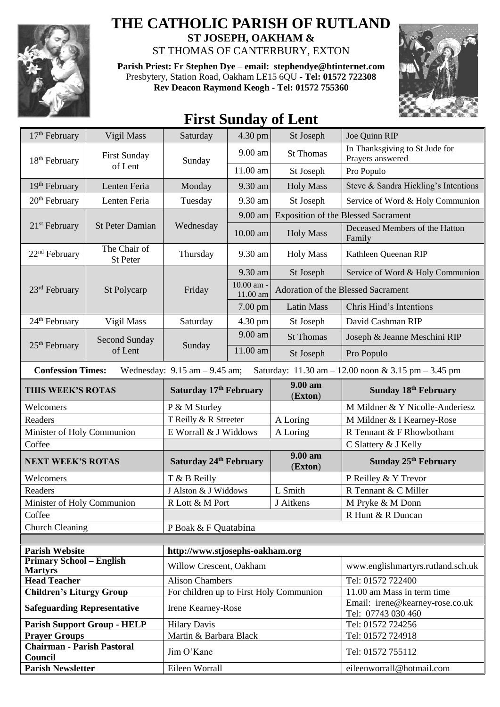

## **THE CATHOLIC PARISH OF RUTLAND ST JOSEPH, OAKHAM &**

ST THOMAS OF CANTERBURY, EXTON

**Parish Priest: Fr Stephen Dye** – **[email: stephendye@btinternet.com](mailto:email:%20%20stephendye@btinternet.com)** Presbytery, Station Road, Oakham LE15 6QU - **Tel: 01572 722308 Rev Deacon Raymond Keogh - Tel: 01572 755360**



## **First Sunday of Lent**

| 17 <sup>th</sup> February                                                                                                                               | Vigil Mass                         | Saturday                                                          | 4.30 pm                | St Joseph          | Joe Quinn RIP                                         |
|---------------------------------------------------------------------------------------------------------------------------------------------------------|------------------------------------|-------------------------------------------------------------------|------------------------|--------------------|-------------------------------------------------------|
| 18 <sup>th</sup> February                                                                                                                               | <b>First Sunday</b>                | Sunday                                                            | $9.00$ am              | <b>St Thomas</b>   | In Thanksgiving to St Jude for<br>Prayers answered    |
|                                                                                                                                                         | of Lent                            |                                                                   | 11.00 am               | St Joseph          | Pro Populo                                            |
| 19 <sup>th</sup> February                                                                                                                               | Lenten Feria                       | Monday                                                            | 9.30 am                | <b>Holy Mass</b>   | Steve & Sandra Hickling's Intentions                  |
| 20 <sup>th</sup> February                                                                                                                               | Lenten Feria                       | Tuesday                                                           | 9.30 am                | St Joseph          | Service of Word & Holy Communion                      |
|                                                                                                                                                         |                                    | Wednesday                                                         | 9.00 am                |                    | <b>Exposition of the Blessed Sacrament</b>            |
| $21st$ February                                                                                                                                         | <b>St Peter Damian</b>             |                                                                   | 10.00 am               | <b>Holy Mass</b>   | Deceased Members of the Hatton<br>Family              |
| 22 <sup>nd</sup> February                                                                                                                               | The Chair of<br>St Peter           | Thursday                                                          | 9.30 am                | <b>Holy Mass</b>   | Kathleen Queenan RIP                                  |
| 23 <sup>rd</sup> February                                                                                                                               | St Polycarp                        | Friday                                                            | 9.30 am                | St Joseph          | Service of Word & Holy Communion                      |
|                                                                                                                                                         |                                    |                                                                   | 10.00 am -<br>11.00 am |                    | Adoration of the Blessed Sacrament                    |
|                                                                                                                                                         |                                    |                                                                   | 7.00 pm                | <b>Latin Mass</b>  | Chris Hind's Intentions                               |
| 24 <sup>th</sup> February                                                                                                                               | Vigil Mass                         | Saturday                                                          | 4.30 pm                | St Joseph          | David Cashman RIP                                     |
|                                                                                                                                                         | <b>Second Sunday</b>               |                                                                   | 9.00 am                | <b>St Thomas</b>   | Joseph & Jeanne Meschini RIP                          |
| $25th$ February                                                                                                                                         | of Lent                            | Sunday                                                            | 11.00 am               | St Joseph          | Pro Populo                                            |
| <b>Confession Times:</b><br>Wednesday: $9.15$ am $- 9.45$ am;<br>Saturday: $11.30 \text{ am} - 12.00 \text{ noon} \& 3.15 \text{ pm} - 3.45 \text{ pm}$ |                                    |                                                                   |                        |                    |                                                       |
| THIS WEEK'S ROTAS                                                                                                                                       |                                    | Saturday 17th February                                            |                        | 9.00 am<br>(Exton) | Sunday 18th February                                  |
| Welcomers                                                                                                                                               |                                    | P & M Sturley                                                     |                        |                    | M Mildner & Y Nicolle-Anderiesz                       |
| Readers                                                                                                                                                 |                                    | T Reilly & R Streeter                                             |                        | A Loring           | M Mildner & I Kearney-Rose                            |
| Minister of Holy Communion                                                                                                                              |                                    | E Worrall & J Widdows                                             |                        | A Loring           | R Tennant & F Rhowbotham                              |
| Coffee                                                                                                                                                  |                                    |                                                                   |                        |                    | C Slattery & J Kelly                                  |
| <b>NEXT WEEK'S ROTAS</b>                                                                                                                                |                                    | Saturday 24th February                                            |                        | 9.00 am<br>(Exton) | Sunday 25 <sup>th</sup> February                      |
| Welcomers                                                                                                                                               |                                    | T & B Reilly                                                      |                        |                    | P Reilley & Y Trevor                                  |
| Readers                                                                                                                                                 |                                    | J Alston & J Widdows                                              |                        | L Smith            | R Tennant & C Miller                                  |
| Minister of Holy Communion                                                                                                                              |                                    | R Lott & M Port                                                   |                        | J Aitkens          | M Pryke & M Donn                                      |
| Coffee                                                                                                                                                  |                                    |                                                                   |                        |                    | R Hunt & R Duncan                                     |
| <b>Church Cleaning</b>                                                                                                                                  |                                    | P Boak & F Quatabina                                              |                        |                    |                                                       |
| <b>Parish Website</b>                                                                                                                                   |                                    | http://www.stjosephs-oakham.org                                   |                        |                    |                                                       |
| <b>Primary School – English</b>                                                                                                                         |                                    | Willow Crescent, Oakham<br>www.englishmartyrs.rutland.sch.uk      |                        |                    |                                                       |
| <b>Martyrs</b>                                                                                                                                          |                                    |                                                                   |                        |                    |                                                       |
| <b>Head Teacher</b>                                                                                                                                     |                                    | <b>Alison Chambers</b><br>For children up to First Holy Communion |                        |                    | Tel: 01572 722400<br>11.00 am Mass in term time       |
| <b>Children's Liturgy Group</b><br><b>Safeguarding Representative</b>                                                                                   |                                    | Irene Kearney-Rose                                                |                        |                    | Email: irene@kearney-rose.co.uk<br>Tel: 07743 030 460 |
|                                                                                                                                                         | <b>Parish Support Group - HELP</b> | <b>Hilary Davis</b>                                               |                        |                    | Tel: 01572 724256                                     |
| <b>Prayer Groups</b>                                                                                                                                    |                                    | Martin & Barbara Black                                            |                        |                    | Tel: 01572 724918                                     |
| <b>Chairman - Parish Pastoral</b><br>Council                                                                                                            |                                    | Jim O'Kane                                                        |                        |                    | Tel: 01572 755112                                     |
| <b>Parish Newsletter</b>                                                                                                                                |                                    | Eileen Worrall                                                    |                        |                    | eileenworrall@hotmail.com                             |